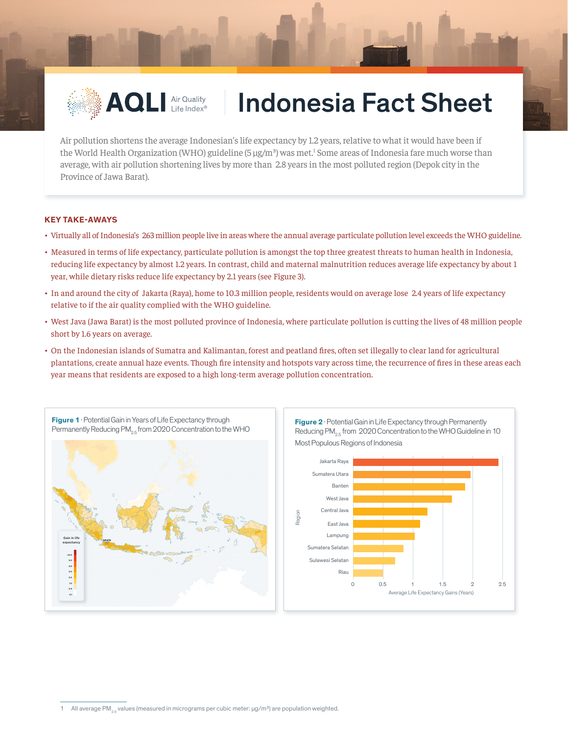

## **AQLI Air Quality | Indonesia Fact Sheet**

Air pollution shortens the average Indonesian's life expectancy by 1.2 years, relative to what it would have been if the World Health Organization (WHO) guideline  $(5 \mu g/m^3)$  was met.<sup>1</sup> Some areas of Indonesia fare much worse than average, with air pollution shortening lives by more than 2.8 years in the most polluted region (Depok city in the Province of Jawa Barat).

## **KEY TAKE-AWAYS**

- Virtually all of Indonesia's 263 million people live in areas where the annual average particulate pollution level exceeds the WHO guideline.
- Measured in terms of life expectancy, particulate pollution is amongst the top three greatest threats to human health in Indonesia, reducing life expectancy by almost 1.2 years. In contrast, child and maternal malnutrition reduces average life expectancy by about 1 year, while dietary risks reduce life expectancy by 2.1 years (see Figure 3).
- In and around the city of Jakarta (Raya), home to 10.3 million people, residents would on average lose 2.4 years of life expectancy relative to if the air quality complied with the WHO guideline.
- West Java (Jawa Barat) is the most polluted province of Indonesia, where particulate pollution is cutting the lives of 48 million people short by 1.6 years on average.
- On the Indonesian islands of Sumatra and Kalimantan, forest and peatland fires, often set illegally to clear land for agricultural plantations, create annual haze events. Though fire intensity and hotspots vary across time, the recurrence of fires in these areas each year means that residents are exposed to a high long-term average pollution concentration.



1 All average PM<sub>1</sub>, values (measured in micrograms per cubic meter:  $\mu q/m<sup>3</sup>$ ) are population weighted.